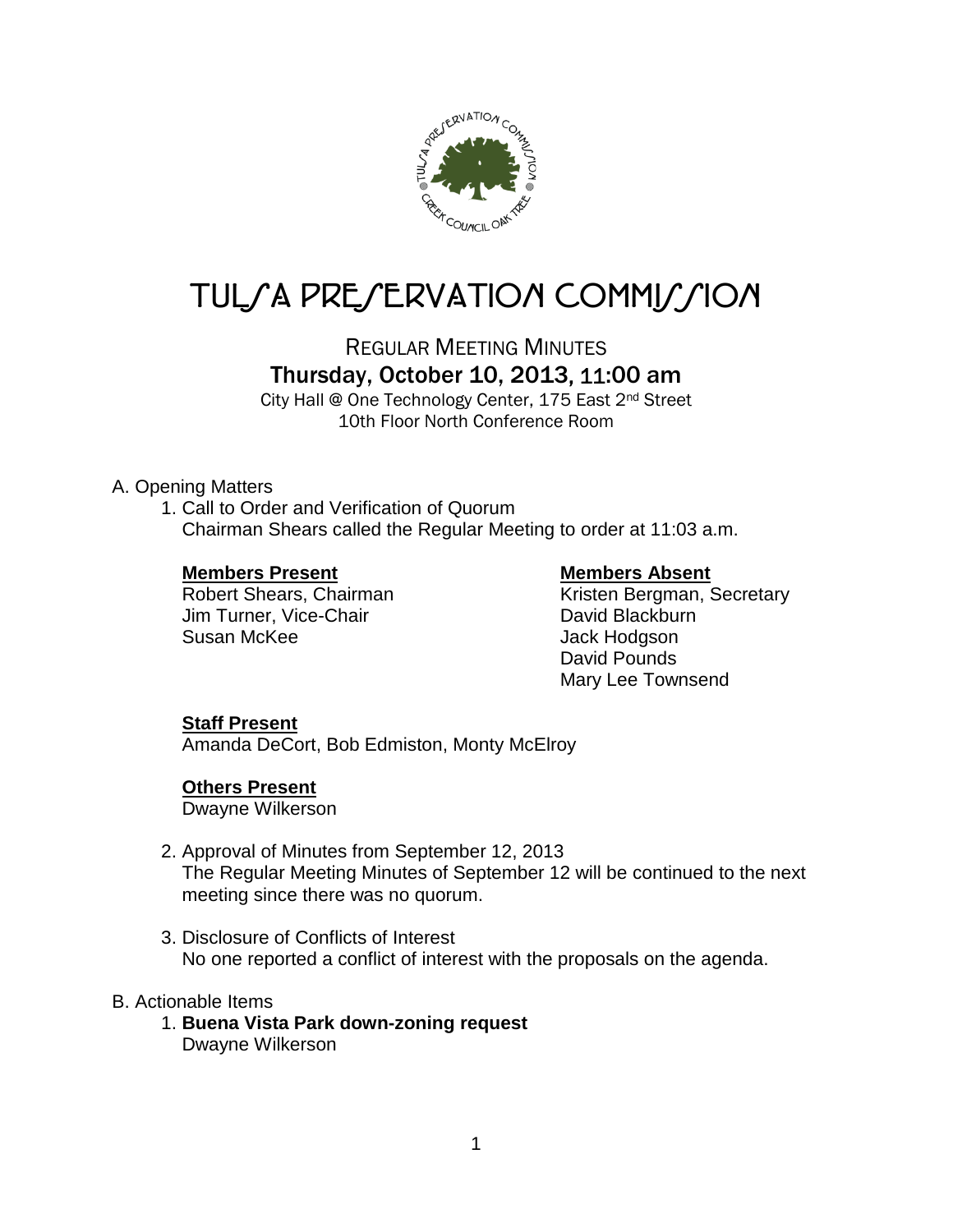

# TUL/A PRE/ERVATION COMMI//ION

## REGULAR MEETING MINUTES Thursday, October 10, 2013, 11:00 am

City Hall @ One Technology Center, 175 East 2nd Street 10th Floor North Conference Room

### A. Opening Matters

1. Call to Order and Verification of Quorum Chairman Shears called the Regular Meeting to order at 11:03 a.m.

### **Members Present Members Absent**

Jim Turner, Vice-Chair **David Blackburn**<br>Susan McKee

Robert Shears, Chairman Kristen Bergman, Secretary Jack Hodgson David Pounds Mary Lee Townsend

### **Staff Present**

Amanda DeCort, Bob Edmiston, Monty McElroy

### **Others Present**

Dwayne Wilkerson

- 2. Approval of Minutes from September 12, 2013 The Regular Meeting Minutes of September 12 will be continued to the next meeting since there was no quorum.
- 3. Disclosure of Conflicts of Interest No one reported a conflict of interest with the proposals on the agenda.

### B. Actionable Items

1. **Buena Vista Park down-zoning request** Dwayne Wilkerson